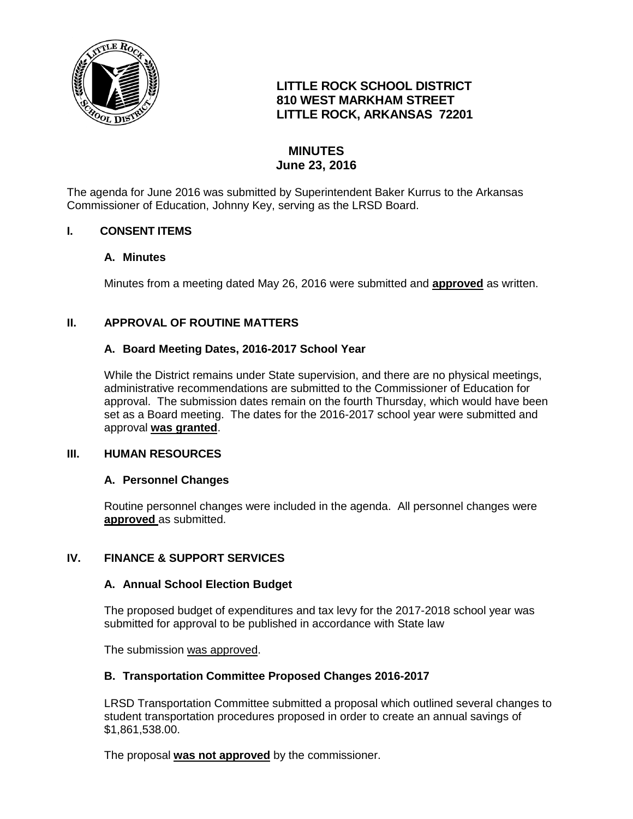

# **LITTLE ROCK SCHOOL DISTRICT 810 WEST MARKHAM STREET LITTLE ROCK, ARKANSAS 72201**

# **MINUTES June 23, 2016**

The agenda for June 2016 was submitted by Superintendent Baker Kurrus to the Arkansas Commissioner of Education, Johnny Key, serving as the LRSD Board.

### **I. CONSENT ITEMS**

#### **A. Minutes**

Minutes from a meeting dated May 26, 2016 were submitted and **approved** as written.

## **II. APPROVAL OF ROUTINE MATTERS**

### **A. Board Meeting Dates, 2016-2017 School Year**

While the District remains under State supervision, and there are no physical meetings, administrative recommendations are submitted to the Commissioner of Education for approval. The submission dates remain on the fourth Thursday, which would have been set as a Board meeting. The dates for the 2016-2017 school year were submitted and approval **was granted**.

#### **III. HUMAN RESOURCES**

#### **A. Personnel Changes**

Routine personnel changes were included in the agenda. All personnel changes were **approved** as submitted.

#### **IV. FINANCE & SUPPORT SERVICES**

#### **A. Annual School Election Budget**

The proposed budget of expenditures and tax levy for the 2017-2018 school year was submitted for approval to be published in accordance with State law

The submission was approved.

#### **B. Transportation Committee Proposed Changes 2016-2017**

LRSD Transportation Committee submitted a proposal which outlined several changes to student transportation procedures proposed in order to create an annual savings of \$1,861,538.00.

The proposal **was not approved** by the commissioner.